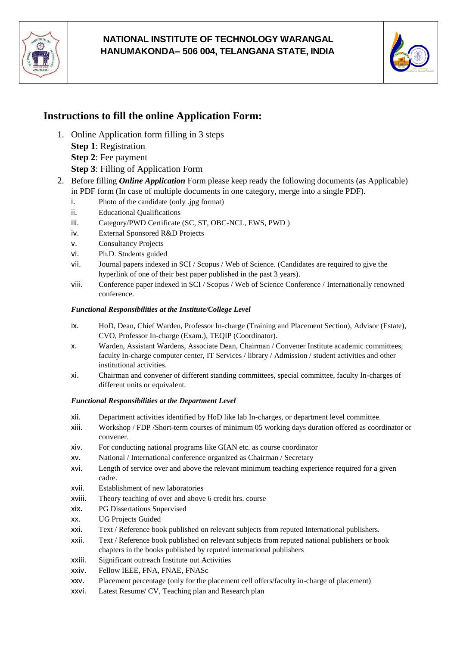

## **NATIONAL INSTITUTE OF TECHNOLOGY WARANGAL HANUMAKONDA– 506 004, TELANGANA STATE, INDIA**



# **Instructions to fill the online Application Form:**

- 1. Online Application form filling in 3 steps **Step 1**: Registration **Step 2**: Fee payment
	- **Step 3**: Filling of Application Form
- 2. Before filling *Online Application* Form please keep ready the following documents (as Applicable) in PDF form (In case of multiple documents in one category, merge into a single PDF).
	- i. Photo of the candidate (only .jpg format)
	- ii. Educational Qualifications
	- iii. Category/PWD Certificate (SC, ST, OBC-NCL, EWS, PWD )
	- iv. External Sponsored R&D Projects
	- v. Consultancy Projects
	- vi. Ph.D. Students guided
	- vii. Journal papers indexed in SCI / Scopus / Web of Science. (Candidates are required to give the hyperlink of one of their best paper published in the past 3 years).
	- viii. Conference paper indexed in SCI / Scopus / Web of Science Conference / Internationally renowned conference.

#### *Functional Responsibilities at the Institute/College Level*

- ix. HoD, Dean, Chief Warden, Professor In-charge (Training and Placement Section), Advisor (Estate), CVO, Professor In-charge (Exam.), TEQIP (Coordinator).
- x. Warden, Assistant Wardens, Associate Dean, Chairman / Convener Institute academic committees, faculty In-charge computer center, IT Services / library / Admission / student activities and other institutional activities.
- xi. Chairman and convener of different standing committees, special committee, faculty In-charges of different units or equivalent.

### *Functional Responsibilities at the Department Level*

- xii. Department activities identified by HoD like lab In-charges, or department level committee.
- xiii. Workshop / FDP /Short-term courses of minimum 05 working days duration offered as coordinator or convener.
- xiv. For conducting national programs like GIAN etc. as course coordinator
- xv. National / International conference organized as Chairman / Secretary
- xvi. Length of service over and above the relevant minimum teaching experience required for a given cadre.
- xvii. Establishment of new laboratories
- xviii. Theory teaching of over and above 6 credit hrs. course
- xix. PG Dissertations Supervised
- xx. UG Projects Guided
- xxi. Text / Reference book published on relevant subjects from reputed International publishers.
- xxii. Text / Reference book published on relevant subjects from reputed national publishers or book chapters in the books published by reputed international publishers
- xxiii. Significant outreach Institute out Activities
- xxiv. Fellow IEEE, FNA, FNAE, FNASc
- xxv. Placement percentage (only for the placement cell offers/faculty in-charge of placement)
- xxvi. Latest Resume/ CV, Teaching plan and Research plan